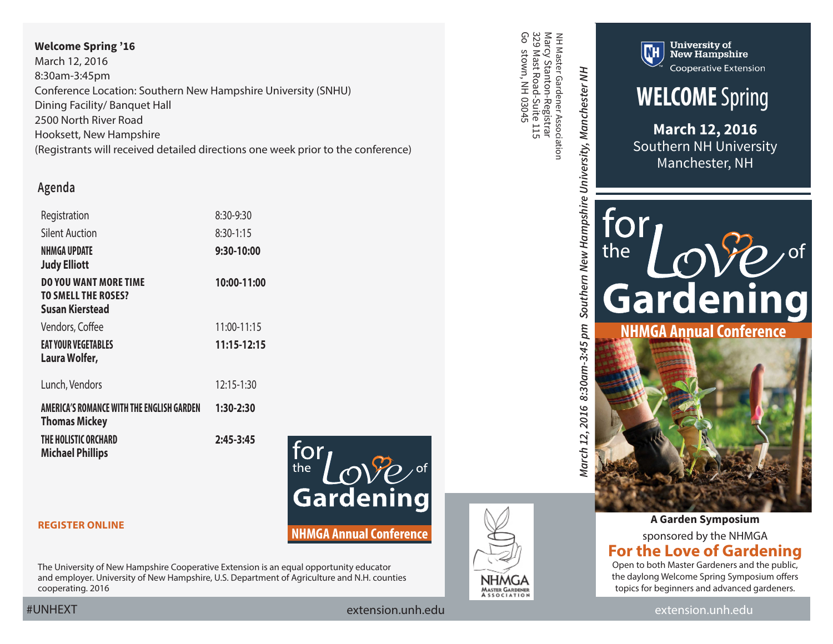### **Welcome Spring '16**

March 12, 2016 8:30am-3:45pm Conference Location: Southern New Hampshire University (SNHU) Dining Facility/ Banquet Hall 2500 North River Road Hooksett, New Hampshire [\(Registrants will received detailed directions one week prior to the conference\)](http://www.snhu.edu/student-experience/regional-center-experience/manchester-nh)

## **Agenda**

| Registration                                                                         | 8:30-9:30   |
|--------------------------------------------------------------------------------------|-------------|
| Silent Auction                                                                       | $8:30-1:15$ |
| NHMGA UPDATE<br><b>Judy Elliott</b>                                                  | 9:30-10:00  |
| <b>DO YOU WANT MORE TIME</b><br><b>TO SMELL THE ROSES?</b><br><b>Susan Kierstead</b> | 10:00-11:00 |
| Vendors, Coffee                                                                      | 11:00-11:15 |
| <b>EAT YOUR VEGETABLES</b><br>Laura Wolfer,                                          | 11:15-12:15 |
| Lunch, Vendors                                                                       | 12:15-1:30  |
| AMERICA'S ROMANCE WITH THE ENGLISH GARDEN<br><b>Thomas Mickey</b>                    | 1:30-2:30   |
| THE HOLISTIC ORCHARD<br><b>Michael Phillips</b>                                      | 2:45-3:45   |



**[REGISTER ONLINE](https://www.events.unh.edu/RegistrationForm.pm?event_id=19293)**

The University of New Hampshire Cooperative Extension is an equal opportunity educator and employer. University of New Hampshire, U.S. Department of Agriculture and N.H. counties cooperating. 2016

၉<br>၁ 329 Mast Road-Suite 115 Marcy Stanton-Registrar NH Master Gardener Association NH Master Gardener Association stown, NH 03045



March 12, 2016 8:30am-3:45 pm Southern New Hampshire University, Manchester NH *March 12, 2016 8:30am-3:45 pm Southern New Hampshire University, Manchester NH*



**New Hampshire Cooperative Extension** 

**WELCOME** Spring

**March 12, 2016** Southern NH University Manchester, NH



**A Garden Symposium** sponsored by the NHMGA **For the Love of Gardening** Open to both Master Gardeners and the public,

the daylong Welcome Spring Symposium offers topics for beginners and advanced gardeners.

#UNHEXT [extension.unh.edu](http://extension.unh.edu/) [extension.unh.edu](http://extension.unh.edu/)